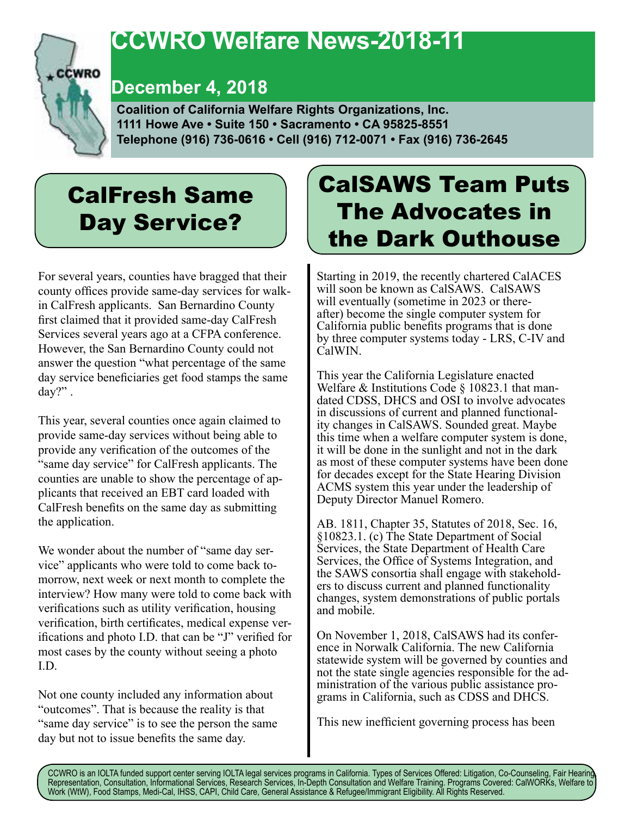

## **CCWRO Welfare News-2018-11**

## **December 4, 2018**

 **Coalition of California Welfare Rights Organizations, Inc. 1111 Howe Ave • Suite 150 • Sacramento • CA 95825-8551 Telephone (916) 736-0616 • Cell (916) 712-0071 • Fax (916) 736-2645**

# CalFresh Same Day Service?

For several years, counties have bragged that their county offices provide same-day services for walkin CalFresh applicants. San Bernardino County first claimed that it provided same-day CalFresh Services several years ago at a CFPA conference. However, the San Bernardino County could not answer the question "what percentage of the same day service beneficiaries get food stamps the same day?" .

This year, several counties once again claimed to provide same-day services without being able to provide any verification of the outcomes of the "same day service" for CalFresh applicants. The counties are unable to show the percentage of applicants that received an EBT card loaded with CalFresh benefits on the same day as submitting the application.

We wonder about the number of "same day service" applicants who were told to come back tomorrow, next week or next month to complete the interview? How many were told to come back with verifications such as utility verification, housing verification, birth certificates, medical expense verifications and photo I.D. that can be "J" verified for most cases by the county without seeing a photo I.D.

Not one county included any information about "outcomes". That is because the reality is that "same day service" is to see the person the same day but not to issue benefits the same day.

# CalSAWS Team Puts The Advocates in the Dark Outhouse

Starting in 2019, the recently chartered CalACES will soon be known as CalSAWS. CalSAWS<br>will eventually (sometime in 2023 or thereafter) become the single computer system for California public benefits programs that is done by three computer systems today - LRS, C-IV and CalWIN.

This year the California Legislature enacted<br>Welfare & Institutions Code  $\S$  10823.1 that mandated CDSS, DHCS and OSI to involve advocates in discussions of current and planned functionality changes in CalSAWS. Sounded great. Maybe this time when a welfare computer system is done, it will be done in the sunlight and not in the dark as most of these computer systems have been done for decades except for the State Hearing Division ACMS system this year under the leadership of Deputy Director Manuel Romero.

AB. 1811, Chapter 35, Statutes of 2018, Sec. 16, §10823.1. (c) The State Department of Social Services, the State Department of Health Care Services, the Office of Systems Integration, and the SAWS consortia shall engage with stakeholders to discuss current and planned functionality changes, system demonstrations of public portals and mobile.

On November 1, 2018, CalSAWS had its confer- ence in Norwalk California. The new California statewide system will be governed by counties and not the state single agencies responsible for the administration of the various public assistance programs in California, such as CDSS and DHCS.

This new inefficient governing process has been

CCWRO is an IOLTA funded support center serving IOLTA legal services programs in California. Types of Services Offered: Litigation, Co-Counseling, Fair Hearing, Representation, Consultation, Informational Services, Research Services, In-Depth Consultation and Welfare Training. Programs Covered: CalWORKs, Welfare to Work (WtW), Food Stamps, Medi-Cal, IHSS, CAPI, Child Care, General Assistance & Refugee/Immigrant Eligibility. All Rights Reserved.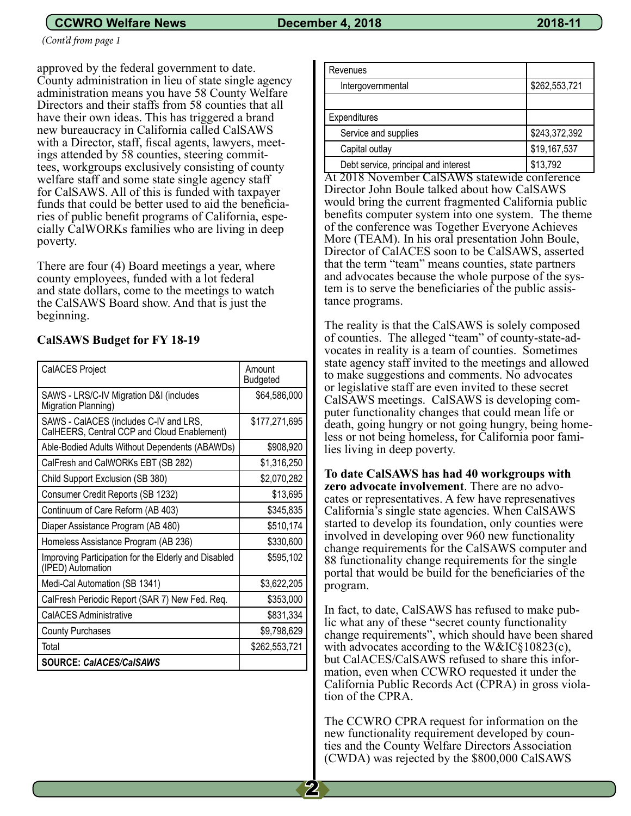### **CCWRO Welfare News December 4, 2018** 2018 2018-11

*(Cont'd from page 1*

approved by the federal government to date. County administration in lieu of state single agency administration means you have 58 County Welfare Directors and their staffs from 58 counties that all have their own ideas. This has triggered a brand new bureaucracy in California called CalSAWS with a Director, staff, fiscal agents, lawyers, meetings attended by 58 counties, steering committees, workgroups exclusively consisting of county welfare staff and some state single agency staff for CalSAWS. All of this is funded with taxpayer funds that could be better used to aid the beneficiaries of public benefit programs of California, especially CalWORKs families who are living in deep poverty.

There are four (4) Board meetings a year, where county employees, funded with a lot federal and state dollars, come to the meetings to watch the CalSAWS Board show. And that is just the beginning.

#### **CalSAWS Budget for FY 18-19**

| CalACES Project                                                                       | Amount<br>Budgeted |
|---------------------------------------------------------------------------------------|--------------------|
| SAWS - LRS/C-IV Migration D&I (includes<br>Migration Planning)                        | \$64,586,000       |
| SAWS - CalACES (includes C-IV and LRS,<br>CalHEERS, Central CCP and Cloud Enablement) | \$177,271,695      |
| Able-Bodied Adults Without Dependents (ABAWDs)                                        | \$908,920          |
| CalFresh and CalWORKs EBT (SB 282)                                                    | \$1,316,250        |
| Child Support Exclusion (SB 380)                                                      | \$2,070,282        |
| Consumer Credit Reports (SB 1232)                                                     | \$13,695           |
| Continuum of Care Reform (AB 403)                                                     | \$345,835          |
| Diaper Assistance Program (AB 480)                                                    | \$510,174          |
| Homeless Assistance Program (AB 236)                                                  | \$330,600          |
| Improving Participation for the Elderly and Disabled<br>(IPED) Automation             | \$595,102          |
| Medi-Cal Automation (SB 1341)                                                         | \$3,622,205        |
| CalFresh Periodic Report (SAR 7) New Fed. Req.                                        | \$353,000          |
| <b>CalACES Administrative</b>                                                         | \$831,334          |
| <b>County Purchases</b>                                                               | \$9,798,629        |
| Total                                                                                 | \$262,553,721      |
| <b>SOURCE: CaIACES/CaISAWS</b>                                                        |                    |

| Revenues                             |               |  |
|--------------------------------------|---------------|--|
| Intergovernmental                    | \$262,553,721 |  |
|                                      |               |  |
| Expenditures                         |               |  |
| Service and supplies                 | \$243,372,392 |  |
| Capital outlay                       | \$19,167,537  |  |
| Debt service, principal and interest | \$13,792      |  |

At 2018 November CalSAWS statewide conference Director John Boule talked about how CalSAWS would bring the current fragmented California public benefits computer system into one system. The theme of the conference was Together Everyone Achieves More (TEAM). In his oral presentation John Boule, Director of CalACES soon to be CalSAWS, asserted that the term "team" means counties, state partners and advocates because the whole purpose of the system is to serve the beneficiaries of the public assistance programs.

The reality is that the CalSAWS is solely composed of counties. The alleged "team" of county-state-advocates in reality is a team of counties. Sometimes state agency staff invited to the meetings and allowed to make suggestions and comments. No advocates or legislative staff are even invited to these secret CalSAWS meetings. CalSAWS is developing computer functionality changes that could mean life or death, going hungry or not going hungry, being homeless or not being homeless, for California poor families living in deep poverty.

**To date CalSAWS has had 40 workgroups with zero advocate involvement**. There are no advo- cates or representatives. A few have represenatives California's single state agencies. When CalSAWS started to develop its foundation, only counties were involved in developing over 960 new functionality change requirements for the CalSAWS computer and 88 functionality change requirements for the single portal that would be build for the beneficiaries of the program.

In fact, to date, CalSAWS has refused to make pub- lic what any of these "secret county functionality change requirements", which should have been shared with advocates according to the W&IC§10823(c), but CalACES/CalSAWS refused to share this information, even when CCWRO requested it under the California Public Records Act (CPRA) in gross violation of the CPRA.

The CCWRO CPRA request for information on the new functionality requirement developed by coun- ties and the County Welfare Directors Association (CWDA) was rejected by the \$800,000 CalSAWS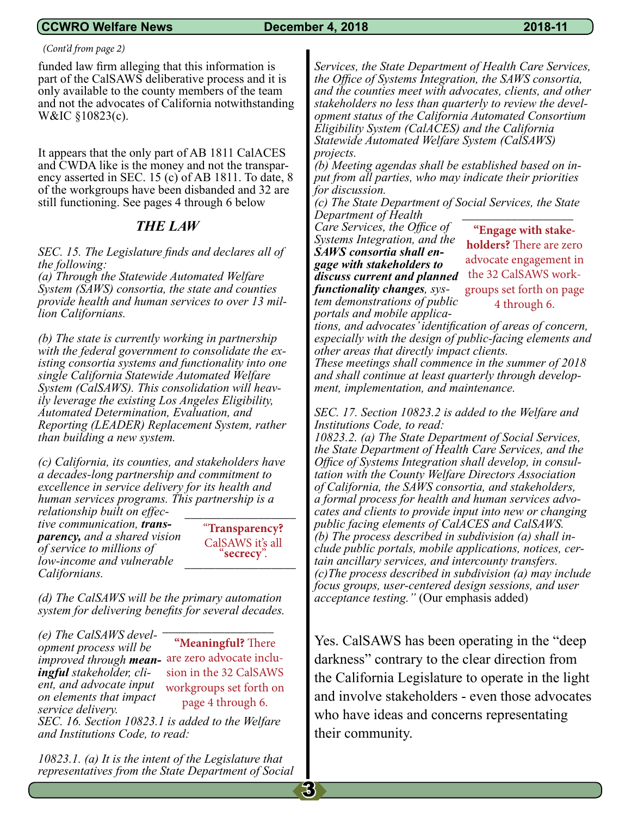#### **CCWRO Welfare News December 4, 2018 2018-11**

#### *(Cont'd from page 2)*

funded law firm alleging that this information is part of the CalSAWS deliberative process and it is only available to the county members of the team and not the advocates of California notwithstanding W&IC §10823(c).

It appears that the only part of AB 1811 CalACES and CWDA like is the money and not the transpar-<br>ency asserted in SEC. 15 (c) of AB 1811. To date, 8 of the workgroups have been disbanded and 32 are still functioning. See pages 4 through 6 below

### *THE LAW*

*SEC. 15. The Legislature finds and declares all of the following:*

*(a) Through the Statewide Automated Welfare System (SAWS) consortia, the state and counties provide health and human services to over 13 mil- lion Californians.*

*(b) The state is currently working in partnership with the federal government to consolidate the ex- isting consortia systems and functionality into one single California Statewide Automated Welfare System (CalSAWS). This consolidation will heav- ily leverage the existing Los Angeles Eligibility, Automated Determination, Evaluation, and Reporting (LEADER) Replacement System, rather than building a new system.*

*(c) California, its counties, and stakeholders have a decades-long partnership and commitment to excellence in service delivery for its health and human services programs. This partnership is a*  \_\_\_\_\_\_\_\_\_\_\_\_\_\_\_\_\_\_

*relationship built on effec- tive communication, trans- parency, and a shared vision of service to millions of low-income and vulnerable Californians.*

"**Transparency?**  CalSAWS it's all<br>"**secrecy**".

*(d) The CalSAWS will be the primary automation system for delivering benefits for several decades.* 

*(e) The CalSAWS development process will be improved through mean-*are zero advocate inclu*ingful stakeholder, client, and advocate input on elements that impact service delivery.*

**"Meaningful?** There sion in the 32 CalSAWS workgroups set forth on page 4 through 6.

\_\_\_\_\_\_\_\_\_\_\_\_\_\_\_\_\_\_

*SEC. 16. Section 10823.1 is added to the Welfare and Institutions Code, to read:*

*10823.1. (a) It is the intent of the Legislature that representatives from the State Department of Social* 

*Services, the State Department of Health Care Services, the Office of Systems Integration, the SAWS consortia, and the counties meet with advocates, clients, and other stakeholders no less than quarterly to review the development status of the California Automated Consortium Eligibility System (CalACES) and the California Statewide Automated Welfare System (CalSAWS) projects.*

*(b) Meeting agendas shall be established based on input from all parties, who may indicate their priorities for discussion.*

*(c) The State Department of Social Services, the State Department of Health*  \_\_\_\_\_\_\_\_\_\_\_\_\_\_\_\_\_\_

*Care Services, the Office of Systems Integration, and the SAWS consortia shall engage with stakeholders to discuss current and planned functionality changes, system demonstrations of public portals and mobile applica-*

**"Engage with stakeholders?** There are zero advocate engagement in the 32 CalSAWS workgroups set forth on page 4 through 6.

*tions, and advocates' identification of areas of concern, especially with the design of public-facing elements and other areas that directly impact clients.*

*These meetings shall commence in the summer of 2018 and shall continue at least quarterly through development, implementation, and maintenance.*

*SEC. 17. Section 10823.2 is added to the Welfare and Institutions Code, to read:*

*10823.2. (a) The State Department of Social Services, the State Department of Health Care Services, and the Office of Systems Integration shall develop, in consultation with the County Welfare Directors Association of California, the SAWS consortia, and stakeholders, a formal process for health and human services advocates and clients to provide input into new or changing public facing elements of CalACES and CalSAWS. (b) The process described in subdivision (a) shall include public portals, mobile applications, notices, certain ancillary services, and intercounty transfers. (c)The process described in subdivision (a) may include focus groups, user-centered design sessions, and user acceptance testing."* (Our emphasis added)

Yes. CalSAWS has been operating in the "deep darkness" contrary to the clear direction from the California Legislature to operate in the light and involve stakeholders - even those advocates who have ideas and concerns representating their community.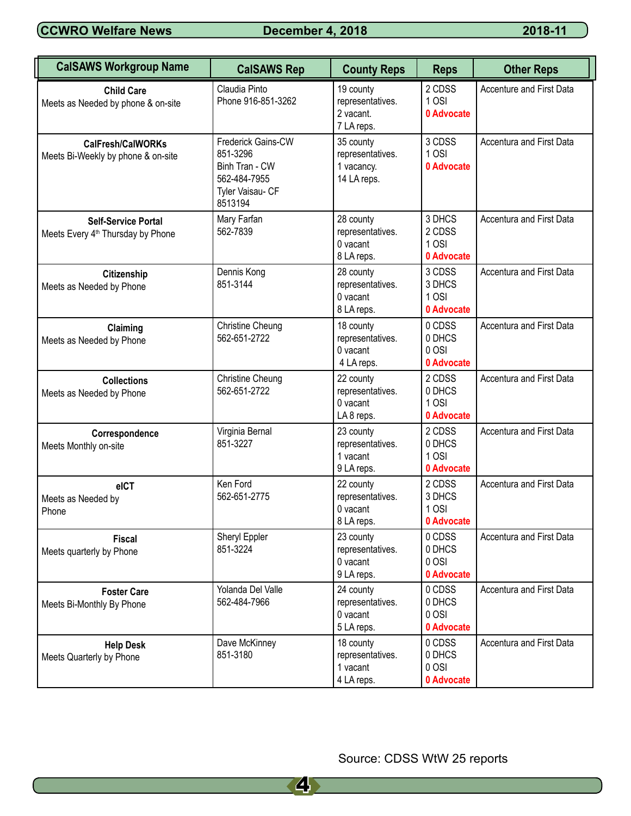**CCWRO Welfare News December 4, 2018 2018-11** 

| <b>CalSAWS Workgroup Name</b>                                               | <b>CalSAWS Rep</b>                                                                              | <b>County Reps</b>                                         | <b>Reps</b>                             | <b>Other Reps</b>        |
|-----------------------------------------------------------------------------|-------------------------------------------------------------------------------------------------|------------------------------------------------------------|-----------------------------------------|--------------------------|
| <b>Child Care</b><br>Meets as Needed by phone & on-site                     | Claudia Pinto<br>Phone 916-851-3262                                                             | 19 county<br>representatives.<br>2 vacant.<br>7 LA reps.   | 2 CDSS<br>1 OSI<br>0 Advocate           | Accenture and First Data |
| <b>CalFresh/CalWORKs</b><br>Meets Bi-Weekly by phone & on-site              | Frederick Gains-CW<br>851-3296<br>Binh Tran - CW<br>562-484-7955<br>Tyler Vaisau- CF<br>8513194 | 35 county<br>representatives.<br>1 vacancy.<br>14 LA reps. | 3 CDSS<br>1OSI<br>0 Advocate            | Accentura and First Data |
| <b>Self-Service Portal</b><br>Meets Every 4 <sup>th</sup> Thursday by Phone | Mary Farfan<br>562-7839                                                                         | 28 county<br>representatives.<br>0 vacant<br>8 LA reps.    | 3 DHCS<br>2 CDSS<br>1OSI<br>0 Advocate  | Accentura and First Data |
| Citizenship<br>Meets as Needed by Phone                                     | Dennis Kong<br>851-3144                                                                         | 28 county<br>representatives.<br>$0$ vacant<br>8 LA reps.  | 3 CDSS<br>3 DHCS<br>1OSI<br>0 Advocate  | Accentura and First Data |
| Claiming<br>Meets as Needed by Phone                                        | <b>Christine Cheung</b><br>562-651-2722                                                         | 18 county<br>representatives.<br>0 vacant<br>4 LA reps.    | 0 CDSS<br>0 DHCS<br>0 OSI<br>0 Advocate | Accentura and First Data |
| <b>Collections</b><br>Meets as Needed by Phone                              | <b>Christine Cheung</b><br>562-651-2722                                                         | 22 county<br>representatives.<br>0 vacant<br>LA8 reps.     | 2 CDSS<br>0 DHCS<br>1OSI<br>0 Advocate  | Accentura and First Data |
| Correspondence<br>Meets Monthly on-site                                     | Virginia Bernal<br>851-3227                                                                     | 23 county<br>representatives.<br>1 vacant<br>9 LA reps.    | 2 CDSS<br>0 DHCS<br>1OSI<br>0 Advocate  | Accentura and First Data |
| eICT<br>Meets as Needed by<br>Phone                                         | Ken Ford<br>562-651-2775                                                                        | 22 county<br>representatives.<br>0 vacant<br>8 LA reps.    | 2 CDSS<br>3 DHCS<br>1 OSI<br>0 Advocate | Accentura and First Data |
| <b>Fiscal</b><br>Meets quarterly by Phone                                   | Sheryl Eppler<br>851-3224                                                                       | 23 county<br>representatives.<br>0 vacant<br>9 LA reps.    | 0 CDSS<br>0 DHCS<br>0 OSI<br>0 Advocate | Accentura and First Data |
| <b>Foster Care</b><br>Meets Bi-Monthly By Phone                             | Yolanda Del Valle<br>562-484-7966                                                               | 24 county<br>representatives.<br>0 vacant<br>5 LA reps.    | 0 CDSS<br>0 DHCS<br>0 OSI<br>0 Advocate | Accentura and First Data |
| <b>Help Desk</b><br>Meets Quarterly by Phone                                | Dave McKinney<br>851-3180                                                                       | 18 county<br>representatives.<br>1 vacant<br>4 LA reps.    | 0 CDSS<br>0 DHCS<br>0 OSI<br>0 Advocate | Accentura and First Data |

Source: CDSS WtW 25 reports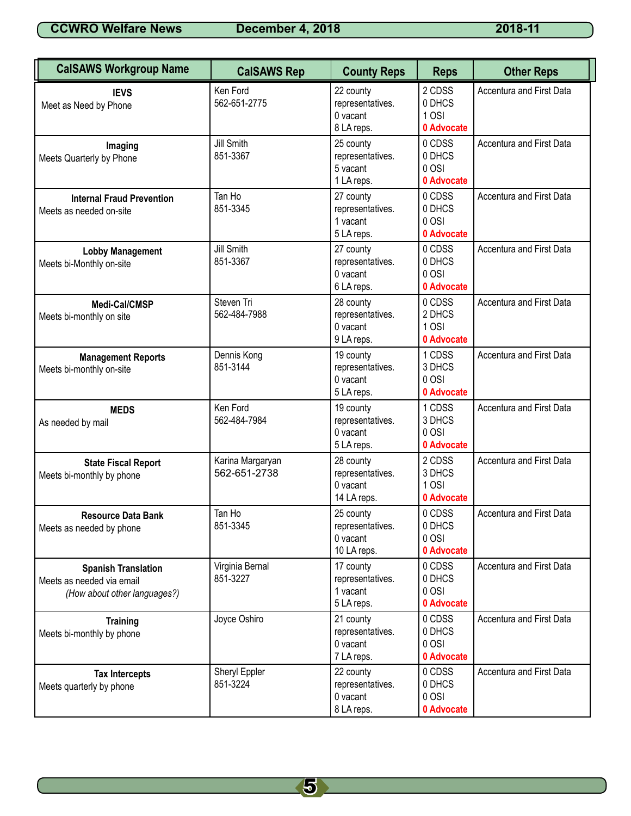**CCWRO Welfare News December 4, 2018 2018-11** 2018-11

| <b>CalSAWS Workgroup Name</b>                                                           | <b>CalSAWS Rep</b>               | <b>County Reps</b>                                       | <b>Reps</b>                               | <b>Other Reps</b>        |
|-----------------------------------------------------------------------------------------|----------------------------------|----------------------------------------------------------|-------------------------------------------|--------------------------|
| <b>IEVS</b><br>Meet as Need by Phone                                                    | Ken Ford<br>562-651-2775         | 22 county<br>representatives.<br>0 vacant<br>8 LA reps.  | 2 CDSS<br>0 DHCS<br>1 OSI<br>0 Advocate   | Accentura and First Data |
| Imaging<br>Meets Quarterly by Phone                                                     | <b>Jill Smith</b><br>851-3367    | 25 county<br>representatives.<br>5 vacant<br>1 LA reps.  | 0 CDSS<br>0 DHCS<br>0 OSI<br>0 Advocate   | Accentura and First Data |
| <b>Internal Fraud Prevention</b><br>Meets as needed on-site                             | Tan Ho<br>851-3345               | 27 county<br>representatives.<br>1 vacant<br>5 LA reps.  | 0 CDSS<br>0 DHCS<br>0 OSI<br>0 Advocate   | Accentura and First Data |
| <b>Lobby Management</b><br>Meets bi-Monthly on-site                                     | Jill Smith<br>851-3367           | 27 county<br>representatives.<br>0 vacant<br>6 LA reps.  | 0 CDSS<br>0 DHCS<br>0 OSI<br>0 Advocate   | Accentura and First Data |
| Medi-Cal/CMSP<br>Meets bi-monthly on site                                               | Steven Tri<br>562-484-7988       | 28 county<br>representatives.<br>0 vacant<br>9 LA reps.  | 0 CDSS<br>2 DHCS<br>1 OSI<br>0 Advocate   | Accentura and First Data |
| <b>Management Reports</b><br>Meets bi-monthly on-site                                   | Dennis Kong<br>851-3144          | 19 county<br>representatives.<br>0 vacant<br>5 LA reps.  | 1 CDSS<br>3 DHCS<br>0 OSI<br>0 Advocate   | Accentura and First Data |
| <b>MEDS</b><br>As needed by mail                                                        | Ken Ford<br>562-484-7984         | 19 county<br>representatives.<br>0 vacant<br>5 LA reps.  | 1 CDSS<br>3 DHCS<br>0 OSI<br>0 Advocate   | Accentura and First Data |
| <b>State Fiscal Report</b><br>Meets bi-monthly by phone                                 | Karina Margaryan<br>562-651-2738 | 28 county<br>representatives.<br>0 vacant<br>14 LA reps. | 2 CDSS<br>3 DHCS<br>$1$ OSI<br>0 Advocate | Accentura and First Data |
| <b>Resource Data Bank</b><br>Meets as needed by phone                                   | Tan Ho<br>851-3345               | 25 county<br>representatives.<br>0 vacant<br>10 LA reps. | 0 CDSS<br>0 DHCS<br>0 OSI<br>0 Advocate   | Accentura and First Data |
| <b>Spanish Translation</b><br>Meets as needed via email<br>(How about other languages?) | Virginia Bernal<br>851-3227      | 17 county<br>representatives.<br>1 vacant<br>5 LA reps.  | 0 CDSS<br>0 DHCS<br>0 OSI<br>0 Advocate   | Accentura and First Data |
| <b>Training</b><br>Meets bi-monthly by phone                                            | Joyce Oshiro                     | 21 county<br>representatives.<br>0 vacant<br>7 LA reps.  | 0 CDSS<br>0 DHCS<br>0 OSI<br>0 Advocate   | Accentura and First Data |
| <b>Tax Intercepts</b><br>Meets quarterly by phone                                       | Sheryl Eppler<br>851-3224        | 22 county<br>representatives.<br>0 vacant<br>8 LA reps.  | 0 CDSS<br>0 DHCS<br>0 OSI<br>0 Advocate   | Accentura and First Data |

5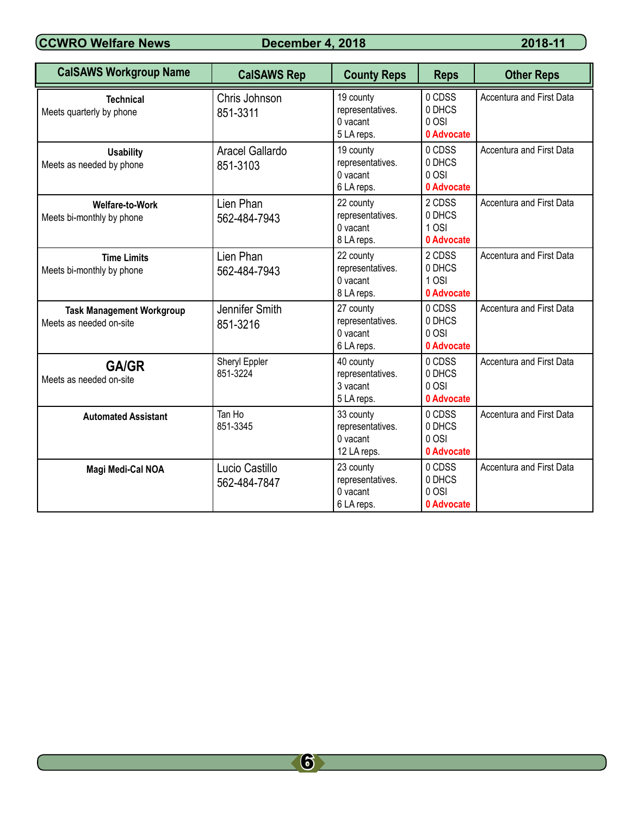**CCWRO Welfare News** December 4, 2018 2018-11

| <b>CalSAWS Workgroup Name</b>                               | <b>CalSAWS Rep</b>             | <b>County Reps</b>                                       | <b>Reps</b>                             | <b>Other Reps</b>               |
|-------------------------------------------------------------|--------------------------------|----------------------------------------------------------|-----------------------------------------|---------------------------------|
| <b>Technical</b><br>Meets quarterly by phone                | Chris Johnson<br>851-3311      | 19 county<br>representatives.<br>0 vacant<br>5 LA reps.  | 0 CDSS<br>0 DHCS<br>0 OSI<br>0 Advocate | <b>Accentura and First Data</b> |
| <b>Usability</b><br>Meets as needed by phone                | Aracel Gallardo<br>851-3103    | 19 county<br>representatives.<br>0 vacant<br>6 LA reps.  | 0 CDSS<br>0 DHCS<br>0 OSI<br>0 Advocate | <b>Accentura and First Data</b> |
| <b>Welfare-to-Work</b><br>Meets bi-monthly by phone         | Lien Phan<br>562-484-7943      | 22 county<br>representatives.<br>0 vacant<br>8 LA reps.  | 2 CDSS<br>0 DHCS<br>1 OSI<br>0 Advocate | <b>Accentura and First Data</b> |
| <b>Time Limits</b><br>Meets bi-monthly by phone             | Lien Phan<br>562-484-7943      | 22 county<br>representatives.<br>0 vacant<br>8 LA reps.  | 2 CDSS<br>0 DHCS<br>1 OSI<br>0 Advocate | Accentura and First Data        |
| <b>Task Management Workgroup</b><br>Meets as needed on-site | Jennifer Smith<br>851-3216     | 27 county<br>representatives.<br>0 vacant<br>6 LA reps.  | 0 CDSS<br>0 DHCS<br>0 OSI<br>0 Advocate | <b>Accentura and First Data</b> |
| <b>GA/GR</b><br>Meets as needed on-site                     | Sheryl Eppler<br>851-3224      | 40 county<br>representatives.<br>3 vacant<br>5 LA reps.  | 0 CDSS<br>0 DHCS<br>0 OSI<br>0 Advocate | <b>Accentura and First Data</b> |
| <b>Automated Assistant</b>                                  | Tan Ho<br>851-3345             | 33 county<br>representatives.<br>0 vacant<br>12 LA reps. | 0 CDSS<br>0 DHCS<br>0 OSI<br>0 Advocate | Accentura and First Data        |
| Magi Medi-Cal NOA                                           | Lucio Castillo<br>562-484-7847 | 23 county<br>representatives.<br>0 vacant<br>6 LA reps.  | 0 CDSS<br>0 DHCS<br>0 OSI<br>0 Advocate | <b>Accentura and First Data</b> |